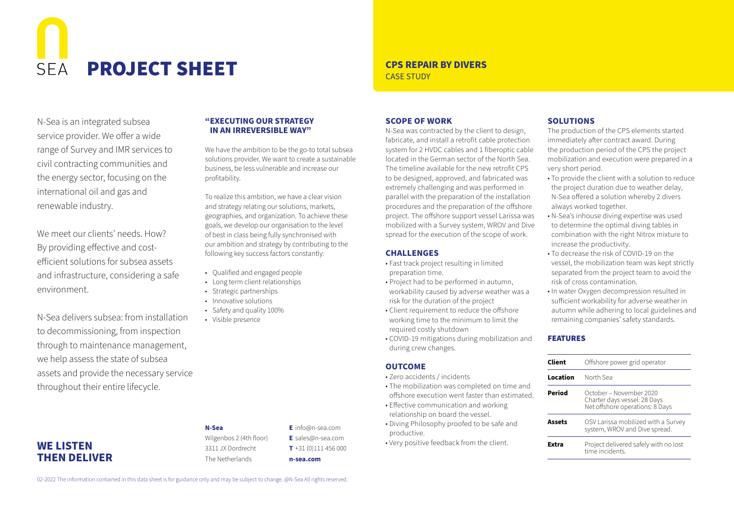# $SFA$ **PROJECT SHEET** CPS REPAIR BY DIVERS

N-Sea is an integrated subsea service provider. We offer a wide range of Survey and IMR services to civil contracting communities and the energy sector, focusing on the international oil and gas and renewable industry.

We meet our clients' needs. How? By providing effective and costefficient solutions for subsea assets and infrastructure, considering a safe environment.

N-Sea delivers subsea: from installation to decommissioning, from inspection through to maintenance management, we help assess the state of subsea assets and provide the necessary service throughout their entire lifecycle.

**WE LISTEN THEN DELIVER**

## **"EXECUTING OUR STRATEGY IN AN IRREVERSIBLE WAY"**

We have the ambition to be the go-to total subsea solutions provider. We want to create a sustainable business, be less vulnerable and increase our profitability.

To realize this ambition, we have a clear vision and strategy relating our solutions, markets, geographies, and organization. To achieve these goals, we develop our organisation to the level of best in class being fully synchronised with our ambition and strategy by contributing to the following key success factors constantly:

- Qualified and engaged people
- Long term client relationships
- Strategic partnerships
- Innovative solutions
- Safety and quality 100%
- Visible presence

# CASE STUDY

#### **SCOPE OF WORK**

N-Sea was contracted by the client to design, fabricate, and install a retrofit cable protection system for 2 HVDC cables and 1 fiberoptic cable located in the German sector of the North Sea. The timeline available for the new retrofit CPS to be designed, approved, and fabricated was extremely challenging and was performed in parallel with the preparation of the installation procedures and the preparation of the offshore project. The offshore support vessel Larissa was mobilized with a Survey system, WROV and Dive spread for the execution of the scope of work.

#### **CHALLENGES**

- Fast track project resulting in limited preparation time.
- Project had to be performed in autumn, workability caused by adverse weather was a risk for the duration of the project
- Client requirement to reduce the offshore working time to the minimum to limit the required costly shutdown
- COVID-19 mitigations during mobilization and during crew changes.

#### **OUTCOME**

- Zero accidents / incidents
- The mobilization was completed on time and offshore execution went faster than estimated.
- Effective communication and working relationship on board the vessel.
- Diving Philosophy proofed to be safe and productive.
- Very positive feedback from the client.

## **SOLUTIONS**

The production of the CPS elements started immediately after contract award. During the production period of the CPS the project mobilization and execution were prepared in a very short period.

- To provide the client with a solution to reduce the project duration due to weather delay, N-Sea offered a solution whereby 2 divers always worked together.
- N-Sea's inhouse diving expertise was used to determine the optimal diving tables in combination with the right Nitrox mixture to increase the productivity.
- To decrease the risk of COVID-19 on the vessel, the mobilization team was kept strictly separated from the project team to avoid the risk of cross contamination.
- In water Oxygen decompression resulted in sufficient workability for adverse weather in autumn while adhering to local guidelines and remaining companies' safety standards.

### FEATURES

| Client   | Offshore power grid operator                                                               |
|----------|--------------------------------------------------------------------------------------------|
| Location | North Sea                                                                                  |
| Period   | October – November 2020<br>Charter days vessel: 28 Days<br>Net offshore operations: 8 Days |
| Assets   | OSV Larissa mobilized with a Survey<br>system, WROV and Dive spread.                       |
| Extra    | Project delivered safely with no lost<br>time incidents                                    |

Wilgenbos 2 (4th floor) 3311 JX Dordrecht The Netherlands

**N-Sea**

**E** info@n-sea.com **E** sales@n-sea.com **T** +31 (0)111 456 000 **n-sea.com**